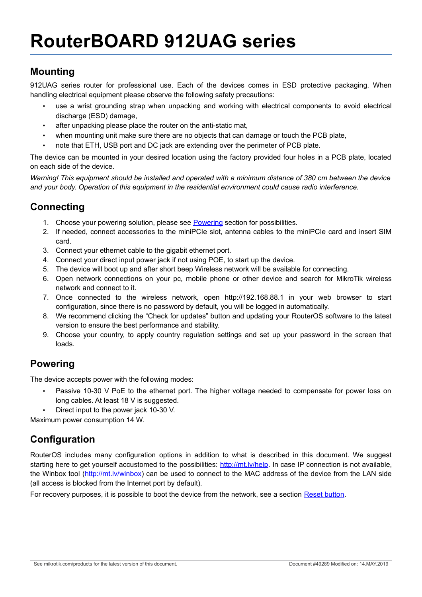### **Mounting**

912UAG series router for professional use. Each of the devices comes in ESD protective packaging. When handling electrical equipment please observe the following safety precautions:

- use a wrist grounding strap when unpacking and working with electrical components to avoid electrical discharge (ESD) damage,
- after unpacking please place the router on the anti-static mat,
- when mounting unit make sure there are no objects that can damage or touch the PCB plate,
- note that ETH, USB port and DC jack are extending over the perimeter of PCB plate.

The device can be mounted in your desired location using the factory provided four holes in a PCB plate, located on each side of the device.

*Warning! This equipment should be installed and operated with a minimum distance of 380 cm between the device and your body. Operation of this equipment in the residential environment could cause radio interference.*

## **Connecting**

- 1. Choose your powering solution, please see [Powering](#page-0-0) section for possibilities.
- 2. If needed, connect accessories to the miniPCIe slot, antenna cables to the miniPCIe card and insert SIM card.
- 3. Connect your ethernet cable to the gigabit ethernet port.
- 4. Connect your direct input power jack if not using POE, to start up the device.
- 5. The device will boot up and after short beep Wireless network will be available for connecting.
- 6. Open network connections on your pc, mobile phone or other device and search for MikroTik wireless network and connect to it.
- 7. Once connected to the wireless network, open http://192.168.88.1 in your web browser to start configuration, since there is no password by default, you will be logged in automatically.
- 8. We recommend clicking the "Check for updates" button and updating your RouterOS software to the latest version to ensure the best performance and stability.
- 9. Choose your country, to apply country regulation settings and set up your password in the screen that loads.

## <span id="page-0-0"></span>**Powering**

The device accepts power with the following modes:

- Passive 10-30 V PoE to the ethernet port. The higher voltage needed to compensate for power loss on long cables. At least 18 V is suggested.
- Direct input to the power jack 10-30 V.

Maximum power consumption 14 W.

# **Configuration**

RouterOS includes many configuration options in addition to what is described in this document. We suggest starting here to get yourself accustomed to the possibilities: [http://mt.lv/help.](http://mt.lv/help) In case IP connection is not available, the Winbox tool [\(http://mt.lv/winbox\)](http://mt.lv/winbox) can be used to connect to the MAC address of the device from the LAN side (all access is blocked from the Internet port by default).

For recovery purposes, it is possible to boot the device from the network, see a section [Reset button.](#page-1-0)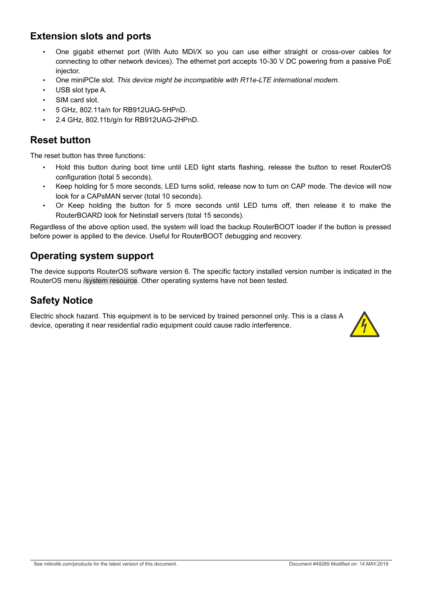## **Extension slots and ports**

- One gigabit ethernet port (With Auto MDI/X so you can use either straight or cross-over cables for connecting to other network devices). The ethernet port accepts 10-30 V DC powering from a passive PoE injector.
- One miniPCIe slot. *This device might be incompatible with R11e-LTE international modem.*
- USB slot type A.
- SIM card slot.
- 5 GHz, 802.11a/n for RB912UAG-5HPnD.
- 2.4 GHz, 802.11b/g/n for RB912UAG-2HPnD.

### <span id="page-1-0"></span>**Reset button**

The reset button has three functions:

- Hold this button during boot time until LED light starts flashing, release the button to reset RouterOS configuration (total 5 seconds).
- Keep holding for 5 more seconds, LED turns solid, release now to turn on CAP mode. The device will now look for a CAPsMAN server (total 10 seconds).
- Or Keep holding the button for 5 more seconds until LED turns off, then release it to make the RouterBOARD look for Netinstall servers (total 15 seconds).

Regardless of the above option used, the system will load the backup RouterBOOT loader if the button is pressed before power is applied to the device. Useful for RouterBOOT debugging and recovery.

### **Operating system support**

The device supports RouterOS software version 6. The specific factory installed version number is indicated in the RouterOS menu /system resource. Other operating systems have not been tested.

#### **Safety Notice**

Electric shock hazard. This equipment is to be serviced by trained personnel only. This is a class A device, operating it near residential radio equipment could cause radio interference.

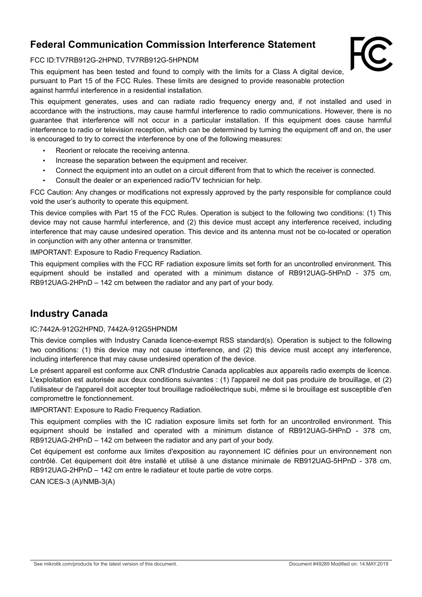### **Federal Communication Commission Interference Statement**

#### FCC ID:TV7RB912G-2HPND, TV7RB912G-5HPNDM

This equipment has been tested and found to comply with the limits for a Class A digital device, pursuant to Part 15 of the FCC Rules. These limits are designed to provide reasonable protection against harmful interference in a residential installation.

This equipment generates, uses and can radiate radio frequency energy and, if not installed and used in accordance with the instructions, may cause harmful interference to radio communications. However, there is no guarantee that interference will not occur in a particular installation. If this equipment does cause harmful interference to radio or television reception, which can be determined by turning the equipment off and on, the user is encouraged to try to correct the interference by one of the following measures:

- Reorient or relocate the receiving antenna.
- Increase the separation between the equipment and receiver.
- Connect the equipment into an outlet on a circuit different from that to which the receiver is connected.
- Consult the dealer or an experienced radio/TV technician for help.

FCC Caution: Any changes or modifications not expressly approved by the party responsible for compliance could void the user's authority to operate this equipment.

This device complies with Part 15 of the FCC Rules. Operation is subject to the following two conditions: (1) This device may not cause harmful interference, and (2) this device must accept any interference received, including interference that may cause undesired operation. This device and its antenna must not be co-located or operation in conjunction with any other antenna or transmitter.

IMPORTANT: Exposure to Radio Frequency Radiation.

This equipment complies with the FCC RF radiation exposure limits set forth for an uncontrolled environment. This equipment should be installed and operated with a minimum distance of RB912UAG-5HPnD - 375 cm, RB912UAG-2HPnD – 142 cm between the radiator and any part of your body.

#### **Industry Canada**

#### IC:7442A-912G2HPND, 7442A-912G5HPNDM

This device complies with Industry Canada licence-exempt RSS standard(s). Operation is subject to the following two conditions: (1) this device may not cause interference, and (2) this device must accept any interference, including interference that may cause undesired operation of the device.

Le présent appareil est conforme aux CNR d'Industrie Canada applicables aux appareils radio exempts de licence. L'exploitation est autorisée aux deux conditions suivantes : (1) l'appareil ne doit pas produire de brouillage, et (2) l'utilisateur de l'appareil doit accepter tout brouillage radioélectrique subi, même si le brouillage est susceptible d'en compromettre le fonctionnement.

IMPORTANT: Exposure to Radio Frequency Radiation.

This equipment complies with the IC radiation exposure limits set forth for an uncontrolled environment. This equipment should be installed and operated with a minimum distance of RB912UAG-5HPnD - 378 cm, RB912UAG-2HPnD – 142 cm between the radiator and any part of your body.

Cet équipement est conforme aux limites d'exposition au rayonnement IC définies pour un environnement non contrôlé. Cet équipement doit être installé et utilisé à une distance minimale de RB912UAG-5HPnD - 378 cm, RB912UAG-2HPnD – 142 cm entre le radiateur et toute partie de votre corps.

CAN ICES-3 (A)/NMB-3(A)

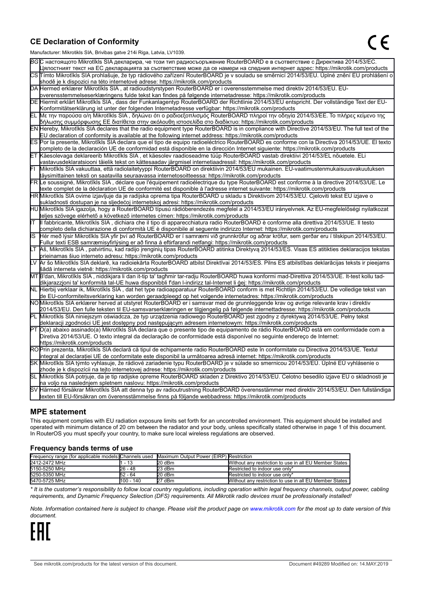#### **CE Declaration of Conformity**

Manufacturer: Mikrotikls SIA, Brivibas gatve 214i Riga, Latvia, LV1039.

|    | $m$ ananao $m$ . Iviini olinis Oli I, Drivibas yatvo $L$ i $\pi$ i Tiiga, Latvia, Lv Toos.                                                                                                                                                       |  |  |  |  |
|----|--------------------------------------------------------------------------------------------------------------------------------------------------------------------------------------------------------------------------------------------------|--|--|--|--|
|    | ВСС настоящото Mikrotīkls SIA декларира, че този тип радиосъоръжение RouterBOARD е в съответствие с Директива 2014/53/EC.                                                                                                                        |  |  |  |  |
|    | Цялостният текст на ЕС декларацията за съответствие може да се намери на следния интернет адрес: https://mikrotik.com/products                                                                                                                   |  |  |  |  |
|    | CS Tímto Mikrotīkls SIA prohlašuje, že typ rádiového zařízení RouterBOARD je v souladu se směrnicí 2014/53/EU. Úplné znění EU prohlášení o                                                                                                       |  |  |  |  |
|    | shodě je k dispozici na této internetové adrese: https://mikrotik.com/products                                                                                                                                                                   |  |  |  |  |
|    | DA Hermed erklærer Mikrotīkls SIA, at radioudstyrstypen RouterBOARD er i overensstemmelse med direktiv 2014/53/EU. EU-                                                                                                                           |  |  |  |  |
|    | overensstemmelseserklæringens fulde tekst kan findes på følgende internetadresse: https://mikrotik.com/products                                                                                                                                  |  |  |  |  |
|    | DE Hiermit erklärt Mikrotīkls SIA, dass der Funkanlagentyp RouterBOARD der Richtlinie 2014/53/EU entspricht. Der vollständige Text der EU-                                                                                                       |  |  |  |  |
|    | Konformitätserklärung ist unter der folgenden Internetadresse verfügbar: https://mikrotik.com/products                                                                                                                                           |  |  |  |  |
|    | ΕL Με την παρούσα ο/η Mikrotīkls SIA , δηλώνει ότι ο ραδιοεξοπλισμός RouterBOARD πληροί την οδηγία 2014/53/ΕΕ. Το πλήρες κείμενο της<br> δήλωσης συμμόρφωσης ΕΕ διατίθεται στην ακόλουθη ιστοσελίδα στο διαδίκτυο: https://mikrotik.com/products |  |  |  |  |
|    | EN Hereby, Mikrotīkls SIA declares that the radio equipment type RouterBOARD is in compliance with Directive 2014/53/EU. The full text of the                                                                                                    |  |  |  |  |
|    | EU declaration of conformity is available at the following internet address: https://mikrotik.com/products                                                                                                                                       |  |  |  |  |
|    | ES Por la presente, Mikrotīkls SIA declara que el tipo de equipo radioeléctrico RouterBOARD es conforme con la Directiva 2014/53/UE. El texto                                                                                                    |  |  |  |  |
|    | completo de la declaración UE de conformidad está disponible en la dirección Internet siguiente: https://mikrotik.com/products                                                                                                                   |  |  |  |  |
|    | ET Käesolevaga deklareerib Mikrotīkls SIA, et käesolev raadioseadme tüüp RouterBOARD vastab direktiivi 2014/53/EL nõuetele. ELi                                                                                                                  |  |  |  |  |
|    | vastavusdeklaratsiooni täielik tekst on kättesaadav järgmisel internetiaadressil: https://mikrotik.com/products                                                                                                                                  |  |  |  |  |
|    | Mikrotīkls SIA vakuuttaa, että radiolaitetyyppi RouterBOARD on direktiivin 2014/53/EU mukainen. EU-vaatimustenmukaisuusvakuutuksen                                                                                                               |  |  |  |  |
|    | täysimittainen teksti on saatavilla seuraavassa internetosoitteessa: https://mikrotik.com/products                                                                                                                                               |  |  |  |  |
|    | FR Le soussigné, Mikrotīkls SIA, déclare que l'équipement radioélectrique du type RouterBOARD est conforme à la directive 2014/53/UE. Le                                                                                                         |  |  |  |  |
|    | texte complet de la déclaration UE de conformité est disponible à l'adresse internet suivante: https://mikrotik.com/products                                                                                                                     |  |  |  |  |
|    | HR Mikrotīkls SIA ovime izjavljuje da je radijska oprema tipa RouterBOARD u skladu s Direktivom 2014/53/EU. Cjeloviti tekst EU izjave o                                                                                                          |  |  |  |  |
|    | sukladnosti dostupan je na sljedećoj internetskoj adresi: https://mikrotik.com/products                                                                                                                                                          |  |  |  |  |
|    | HU Mikrotīkls SIA igazolja, hogy a RouterBOARD típusú rádióberendezés megfelel a 2014/53/EU irányelvnek. Az EU-megfelelőségi nyilatkozat                                                                                                         |  |  |  |  |
|    | teljes szövege elérhető a következő internetes címen: https://mikrotik.com/products                                                                                                                                                              |  |  |  |  |
| lΤ | Il fabbricante, Mikrotīkls SIA, dichiara che il tipo di apparecchiatura radio RouterBOARD è conforme alla direttiva 2014/53/UE. Il testo                                                                                                         |  |  |  |  |
|    | completo della dichiarazione di conformità UE è disponibile al seguente indirizzo Internet: https://mikrotik.com/products                                                                                                                        |  |  |  |  |
| IS | Hér með lýsir Mikrotīkls SIA yfir því að RouterBOARD er í samræmi við grunnkröfur og aðrar kröfur, sem gerðar eru í tilskipun 2014/53/EU.                                                                                                        |  |  |  |  |
|    | Fullur texti ESB samræmisyfirlýsing er að finna á eftirfarandi netfangi: https://mikrotik.com/products                                                                                                                                           |  |  |  |  |
|    | LT Aš, Mikrotīkls SIA, patvirtinu, kad radijo įrenginių tipas RouterBOARD atitinka Direktyvą 2014/53/ES. Visas ES atitikties deklaracijos tekstas<br>prieinamas šiuo interneto adresu: https://mikrotik.com/products                             |  |  |  |  |
|    | Ar šo Mikrotīkls SIA deklarē, ka radioiekārta RouterBOARD atbilst Direktīvai 2014/53/ES. Pilns ES atbilstības deklarācijas teksts ir pieejams                                                                                                    |  |  |  |  |
|    | šādā interneta vietnē: https://mikrotik.com/products                                                                                                                                                                                             |  |  |  |  |
|    | MT B'dan, Mikrotīkls SIA, niddikjara li dan it-tip ta' tagħmir tar-radju RouterBOARD huwa konformi mad-Direttiva 2014/53/UE. It-test kollu tad-                                                                                                  |  |  |  |  |
|    | dikjarazzjoni ta' konformità tal-UE huwa disponibbli f'dan l-indirizz tal-Internet li ġej: https://mikrotik.com/products                                                                                                                         |  |  |  |  |
|    | NL Hierbij verklaar ik, Mikrotīkls SIA , dat het type radioapparatuur RouterBOARD conform is met Richtlijn 2014/53/EU. De volledige tekst van                                                                                                    |  |  |  |  |
|    | de EU-conformiteitsverklaring kan worden geraadpleegd op het volgende internetadres: https://mikrotik.com/products                                                                                                                               |  |  |  |  |
|    | NOMikrotīkls SIA erklærer herved at utstyret RouterBOARD er i samsvar med de grunnleggende krav og øvrige relevante krav i direktiv                                                                                                              |  |  |  |  |
|    | 2014/53/EU. Den fulle teksten til EU-samsvarserklæringen er tilgjengelig på følgende internettadresse: https://mikrotik.com/products                                                                                                             |  |  |  |  |
|    | PL Mikrotīkls SIA niniejszym oświadcza, że typ urządzenia radiowego RouterBOARD jest zgodny z dyrektywą 2014/53/UE. Pełny tekst                                                                                                                  |  |  |  |  |
|    | deklaracji zgodności UE jest dostępny pod następującym adresem internetowym: https://mikrotik.com/products                                                                                                                                       |  |  |  |  |
|    | PT O(a) abaixo assinado(a) Mikrotīkls SIA declara que o presente tipo de equipamento de rádio RouterBOARD está em conformidade com a                                                                                                             |  |  |  |  |
|    | Diretiva 2014/53/UE. O texto integral da declaração de conformidade está disponível no seguinte endereço de Internet:                                                                                                                            |  |  |  |  |
|    | https://mikrotik.com/products                                                                                                                                                                                                                    |  |  |  |  |
|    | ROPrin prezenta, Mikrotīkls SIA declară că tipul de echipamente radio RouterBOARD este în conformitate cu Directiva 2014/53/UE. Textul                                                                                                           |  |  |  |  |
|    | integral al declarației UE de conformitate este disponibil la următoarea adresă internet: https://mikrotik.com/products                                                                                                                          |  |  |  |  |
|    | SK Mikrotīkls SIA týmto vyhlasuje, že rádiové zariadenie typu RouterBOARD je v súlade so smernicou 2014/53/EÚ. Úplné EÚ vyhlásenie o                                                                                                             |  |  |  |  |
|    | zhode je k dispozícii na tejto internetovej adrese: https://mikrotik.com/products                                                                                                                                                                |  |  |  |  |
|    | SL Mikrotīkls SIA potrjuje, da je tip radijske opreme RouterBOARD skladen z Direktivo 2014/53/EU. Celotno besedilo izjave EU o skladnosti je                                                                                                     |  |  |  |  |
|    | na voljo na naslednjem spletnem naslovu: https://mikrotik.com/products                                                                                                                                                                           |  |  |  |  |
|    | SV Härmed försäkrar Mikrotīkls SIA att denna typ av radioutrustning RouterBOARD överensstämmer med direktiv 2014/53/EU. Den fullständiga                                                                                                         |  |  |  |  |
|    | texten till EU-försäkran om överensstämmelse finns på följande webbadress: https://mikrotik.com/products                                                                                                                                         |  |  |  |  |

#### **MPE statement**

This equipment complies with EU radiation exposure limits set forth for an uncontrolled environment. This equipment should be installed and operated with minimum distance of 20 cm between the radiator and your body, unless specifically stated otherwise in page 1 of this document. In RouterOS you must specify your country, to make sure local wireless regulations are observed.

#### **Frequency bands terms of use**

| Frequency range (for applicable models) Channels used Maximum Output Power (EIRP) Restriction |           |        |                                                        |
|-----------------------------------------------------------------------------------------------|-----------|--------|--------------------------------------------------------|
| 2412-2472 MHz                                                                                 | - 13      | 20 dBm | Without any restriction to use in all EU Member States |
| 5150-5250 MHz                                                                                 | 26 - 48   | 23 dBm | Restricted to indoor use only*                         |
| 5250-5350 MHz                                                                                 | 52 - 64   | 20 dBm | Restricted to indoor use only*                         |
| 5470-5725 MHz                                                                                 | 100 - 140 | 27 dBm | Without any restriction to use in all EU Member States |

*\* It is the customer's responsibility to follow local country regulations, including operation within legal frequency channels, output power, cabling requirements, and Dynamic Frequency Selection (DFS) requirements. All Mikrotik radio devices must be professionally installed!*

*Note. Information contained here is subject to change. Please visit the product page on [www.mikrotik.com](http://www.mikrotik.com/) for the most up to date version of this document.*